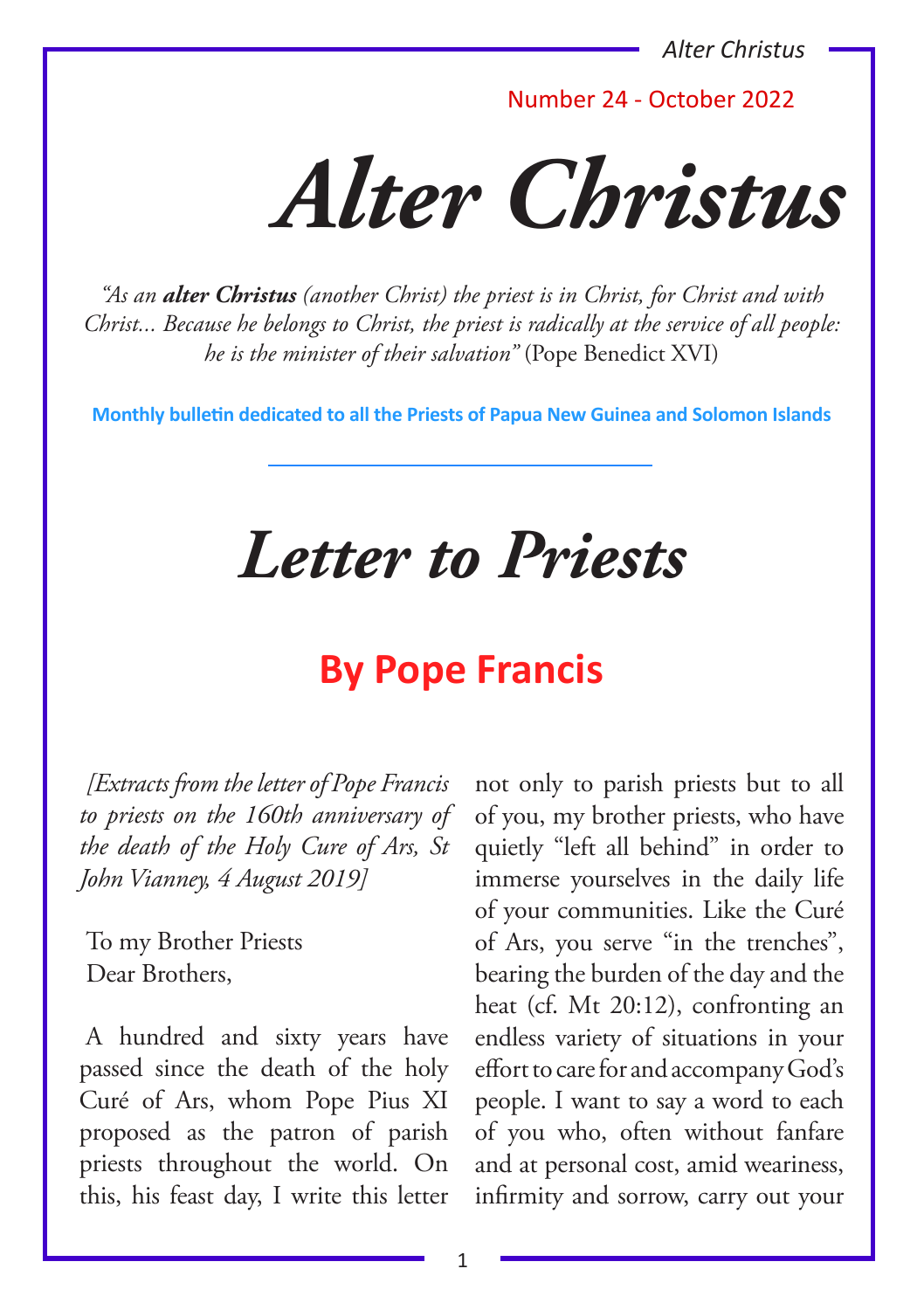Number 24 - October 2022

*Alter Christus*

*"As an alter Christus (another Christ) the priest is in Christ, for Christ and with Christ... Because he belongs to Christ, the priest is radically at the service of all people: he is the minister of their salvation"* (Pope Benedict XVI)

**Monthly bulletin dedicated to all the Priests of Papua New Guinea and Solomon Islands**

# *Letter to Priests*

## **By Pope Francis**

*[Extracts from the letter of Pope Francis to priests on the 160th anniversary of the death of the Holy Cure of Ars, St John Vianney, 4 August 2019]*

To my Brother Priests Dear Brothers,

A hundred and sixty years have passed since the death of the holy Curé of Ars, whom Pope Pius XI proposed as the patron of parish priests throughout the world. On this, his feast day, I write this letter

not only to parish priests but to all of you, my brother priests, who have quietly "left all behind" in order to immerse yourselves in the daily life of your communities. Like the Curé of Ars, you serve "in the trenches", bearing the burden of the day and the heat (cf. Mt 20:12), confronting an endless variety of situations in your effort to care for and accompany God's people. I want to say a word to each of you who, often without fanfare and at personal cost, amid weariness, infirmity and sorrow, carry out your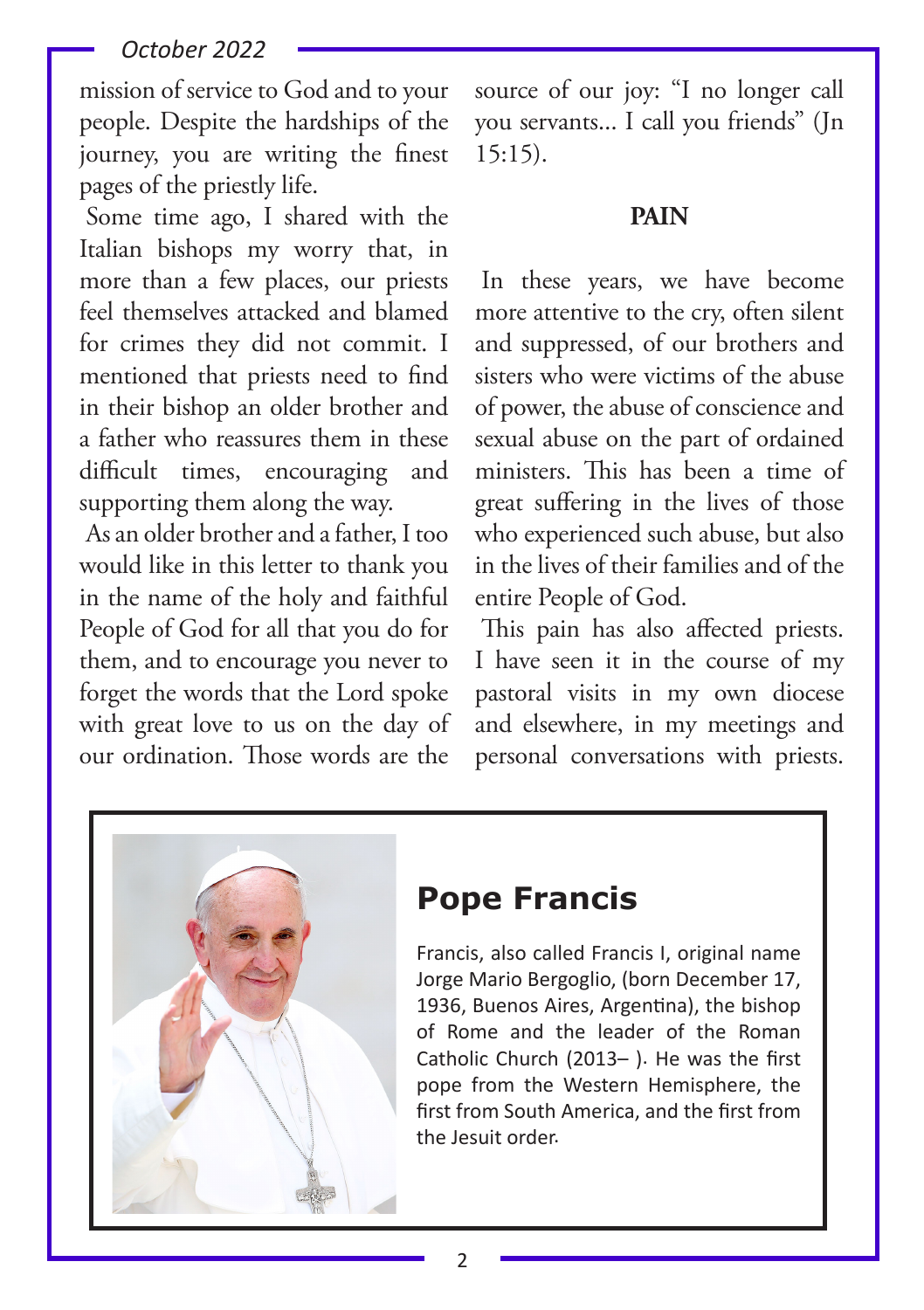mission of service to God and to your people. Despite the hardships of the journey, you are writing the finest pages of the priestly life.

Some time ago, I shared with the Italian bishops my worry that, in more than a few places, our priests feel themselves attacked and blamed for crimes they did not commit. I mentioned that priests need to find in their bishop an older brother and a father who reassures them in these difficult times, encouraging and supporting them along the way.

As an older brother and a father, I too would like in this letter to thank you in the name of the holy and faithful People of God for all that you do for them, and to encourage you never to forget the words that the Lord spoke with great love to us on the day of our ordination. Those words are the

source of our joy: "I no longer call you servants... I call you friends" (Jn 15:15).

#### **PAIN**

In these years, we have become more attentive to the cry, often silent and suppressed, of our brothers and sisters who were victims of the abuse of power, the abuse of conscience and sexual abuse on the part of ordained ministers. This has been a time of great suffering in the lives of those who experienced such abuse, but also in the lives of their families and of the entire People of God.

This pain has also affected priests. I have seen it in the course of my pastoral visits in my own diocese and elsewhere, in my meetings and personal conversations with priests.



## **Pope Francis**

Francis, also called Francis I, original name Jorge Mario Bergoglio, (born December 17, 1936, Buenos Aires, Argentina), the bishop of Rome and the leader of the Roman Catholic Church (2013– ). He was the first pope from the Western Hemisphere, the first from South America, and the first from the Jesuit order.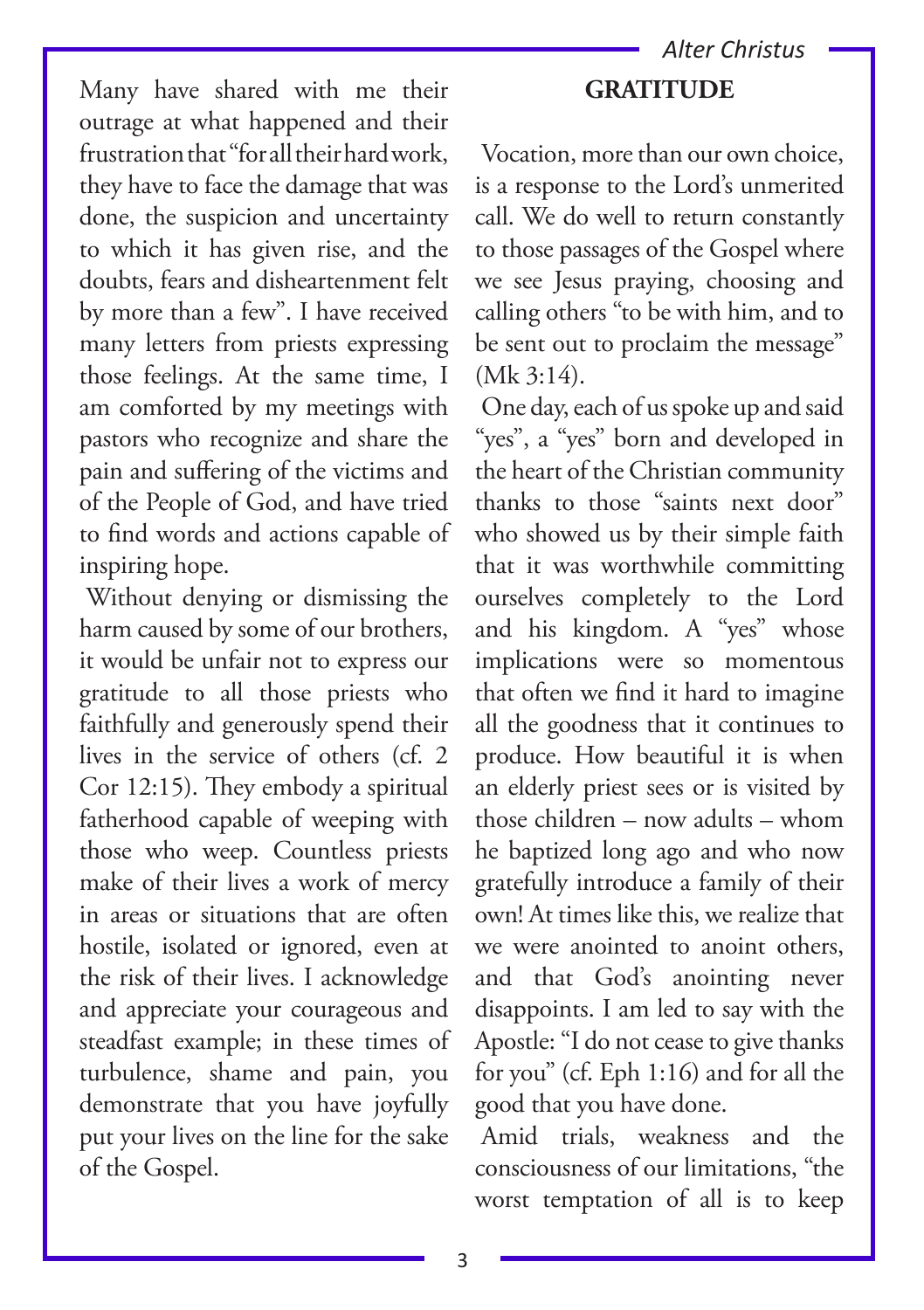Many have shared with me their outrage at what happened and their frustration that "for all their hard work, they have to face the damage that was done, the suspicion and uncertainty to which it has given rise, and the doubts, fears and disheartenment felt by more than a few". I have received many letters from priests expressing those feelings. At the same time, I am comforted by my meetings with pastors who recognize and share the pain and suffering of the victims and of the People of God, and have tried to find words and actions capable of inspiring hope.

Without denying or dismissing the harm caused by some of our brothers, it would be unfair not to express our gratitude to all those priests who faithfully and generously spend their lives in the service of others (cf. 2 Cor 12:15). They embody a spiritual fatherhood capable of weeping with those who weep. Countless priests make of their lives a work of mercy in areas or situations that are often hostile, isolated or ignored, even at the risk of their lives. I acknowledge and appreciate your courageous and steadfast example; in these times of turbulence, shame and pain, you demonstrate that you have joyfully put your lives on the line for the sake of the Gospel.

#### **GRATITUDE**

Vocation, more than our own choice, is a response to the Lord's unmerited call. We do well to return constantly to those passages of the Gospel where we see Jesus praying, choosing and calling others "to be with him, and to be sent out to proclaim the message" (Mk 3:14).

One day, each of us spoke up and said "yes", a "yes" born and developed in the heart of the Christian community thanks to those "saints next door" who showed us by their simple faith that it was worthwhile committing ourselves completely to the Lord and his kingdom. A "yes" whose implications were so momentous that often we find it hard to imagine all the goodness that it continues to produce. How beautiful it is when an elderly priest sees or is visited by those children – now adults – whom he baptized long ago and who now gratefully introduce a family of their own! At times like this, we realize that we were anointed to anoint others, and that God's anointing never disappoints. I am led to say with the Apostle: "I do not cease to give thanks for you" (cf. Eph 1:16) and for all the good that you have done.

Amid trials, weakness and the consciousness of our limitations, "the worst temptation of all is to keep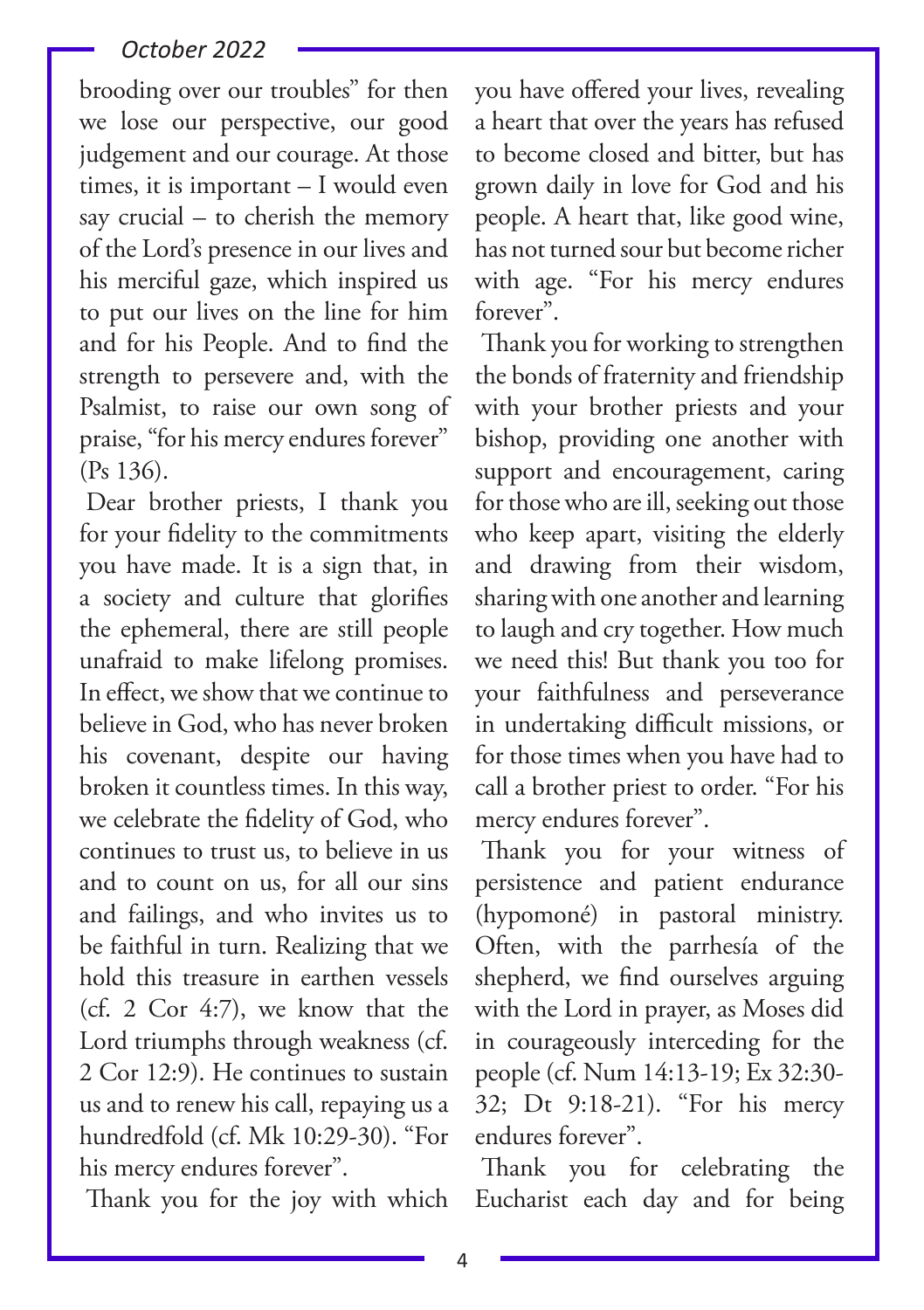brooding over our troubles" for then we lose our perspective, our good judgement and our courage. At those times, it is important – I would even say crucial – to cherish the memory of the Lord's presence in our lives and his merciful gaze, which inspired us to put our lives on the line for him and for his People. And to find the strength to persevere and, with the Psalmist, to raise our own song of praise, "for his mercy endures forever" (Ps 136).

Dear brother priests, I thank you for your fidelity to the commitments you have made. It is a sign that, in a society and culture that glorifies the ephemeral, there are still people unafraid to make lifelong promises. In effect, we show that we continue to believe in God, who has never broken his covenant, despite our having broken it countless times. In this way, we celebrate the fidelity of God, who continues to trust us, to believe in us and to count on us, for all our sins and failings, and who invites us to be faithful in turn. Realizing that we hold this treasure in earthen vessels (cf. 2 Cor 4:7), we know that the Lord triumphs through weakness (cf. 2 Cor 12:9). He continues to sustain us and to renew his call, repaying us a hundredfold (cf. Mk 10:29-30). "For his mercy endures forever".

Thank you for the joy with which

you have offered your lives, revealing a heart that over the years has refused to become closed and bitter, but has grown daily in love for God and his people. A heart that, like good wine, has not turned sour but become richer with age. "For his mercy endures forever".

Thank you for working to strengthen the bonds of fraternity and friendship with your brother priests and your bishop, providing one another with support and encouragement, caring for those who are ill, seeking out those who keep apart, visiting the elderly and drawing from their wisdom, sharing with one another and learning to laugh and cry together. How much we need this! But thank you too for your faithfulness and perseverance in undertaking difficult missions, or for those times when you have had to call a brother priest to order. "For his mercy endures forever".

Thank you for your witness of persistence and patient endurance (hypomoné) in pastoral ministry. Often, with the parrhesía of the shepherd, we find ourselves arguing with the Lord in prayer, as Moses did in courageously interceding for the people (cf. Num 14:13-19; Ex 32:30- 32; Dt 9:18-21). "For his mercy endures forever".

Thank you for celebrating the Eucharist each day and for being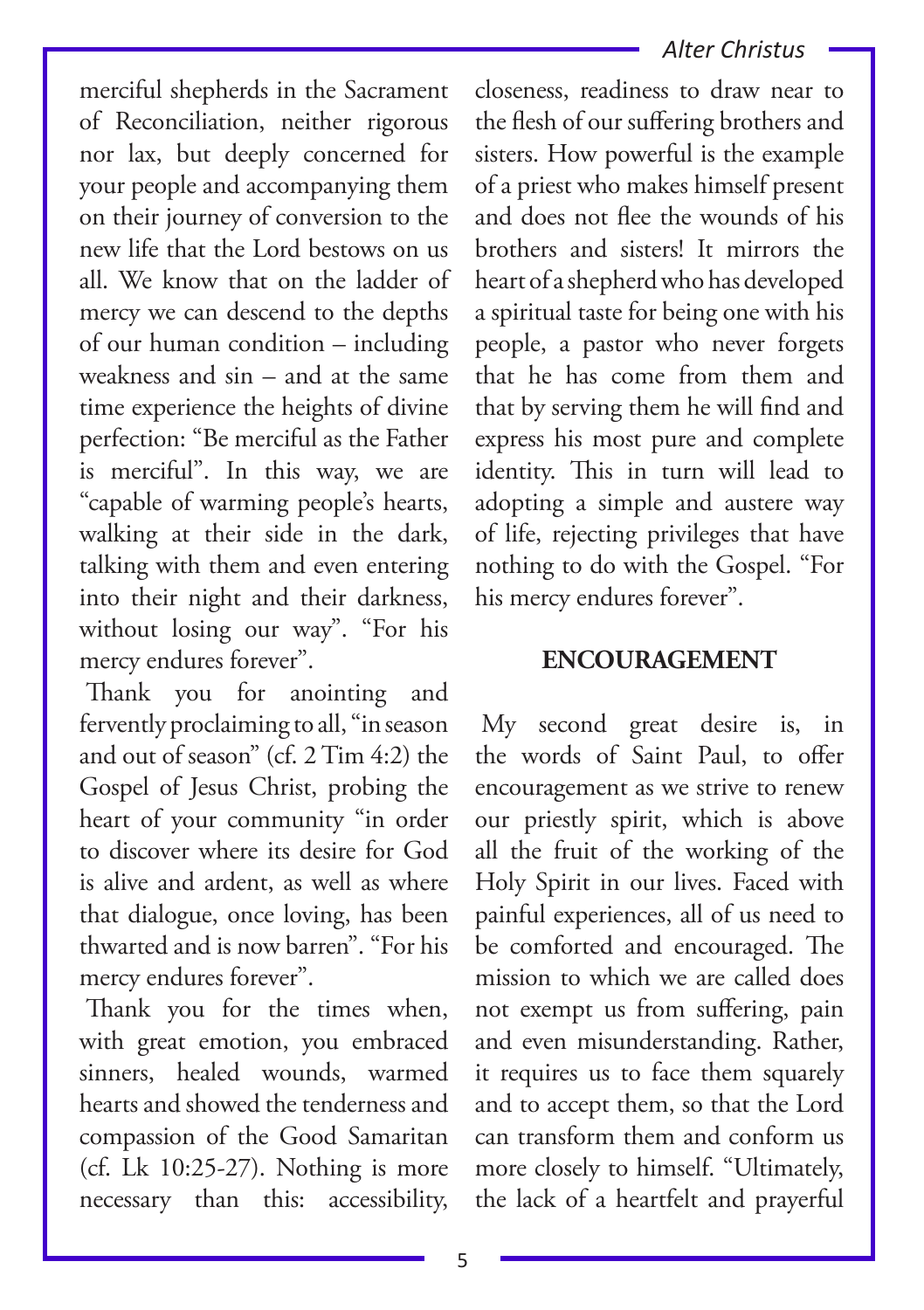merciful shepherds in the Sacrament of Reconciliation, neither rigorous nor lax, but deeply concerned for your people and accompanying them on their journey of conversion to the new life that the Lord bestows on us all. We know that on the ladder of mercy we can descend to the depths of our human condition – including weakness and sin – and at the same time experience the heights of divine perfection: "Be merciful as the Father is merciful". In this way, we are "capable of warming people's hearts, walking at their side in the dark, talking with them and even entering into their night and their darkness, without losing our way". "For his mercy endures forever".

Thank you for anointing and fervently proclaiming to all, "in season and out of season" (cf. 2 Tim 4:2) the Gospel of Jesus Christ, probing the heart of your community "in order to discover where its desire for God is alive and ardent, as well as where that dialogue, once loving, has been thwarted and is now barren". "For his mercy endures forever".

Thank you for the times when, with great emotion, you embraced sinners, healed wounds, warmed hearts and showed the tenderness and compassion of the Good Samaritan (cf. Lk 10:25-27). Nothing is more necessary than this: accessibility,

closeness, readiness to draw near to the flesh of our suffering brothers and sisters. How powerful is the example of a priest who makes himself present and does not flee the wounds of his brothers and sisters! It mirrors the heart of a shepherd who has developed a spiritual taste for being one with his people, a pastor who never forgets that he has come from them and that by serving them he will find and express his most pure and complete identity. This in turn will lead to adopting a simple and austere way of life, rejecting privileges that have nothing to do with the Gospel. "For his mercy endures forever".

#### **ENCOURAGEMENT**

My second great desire is, in the words of Saint Paul, to offer encouragement as we strive to renew our priestly spirit, which is above all the fruit of the working of the Holy Spirit in our lives. Faced with painful experiences, all of us need to be comforted and encouraged. The mission to which we are called does not exempt us from suffering, pain and even misunderstanding. Rather, it requires us to face them squarely and to accept them, so that the Lord can transform them and conform us more closely to himself. "Ultimately, the lack of a heartfelt and prayerful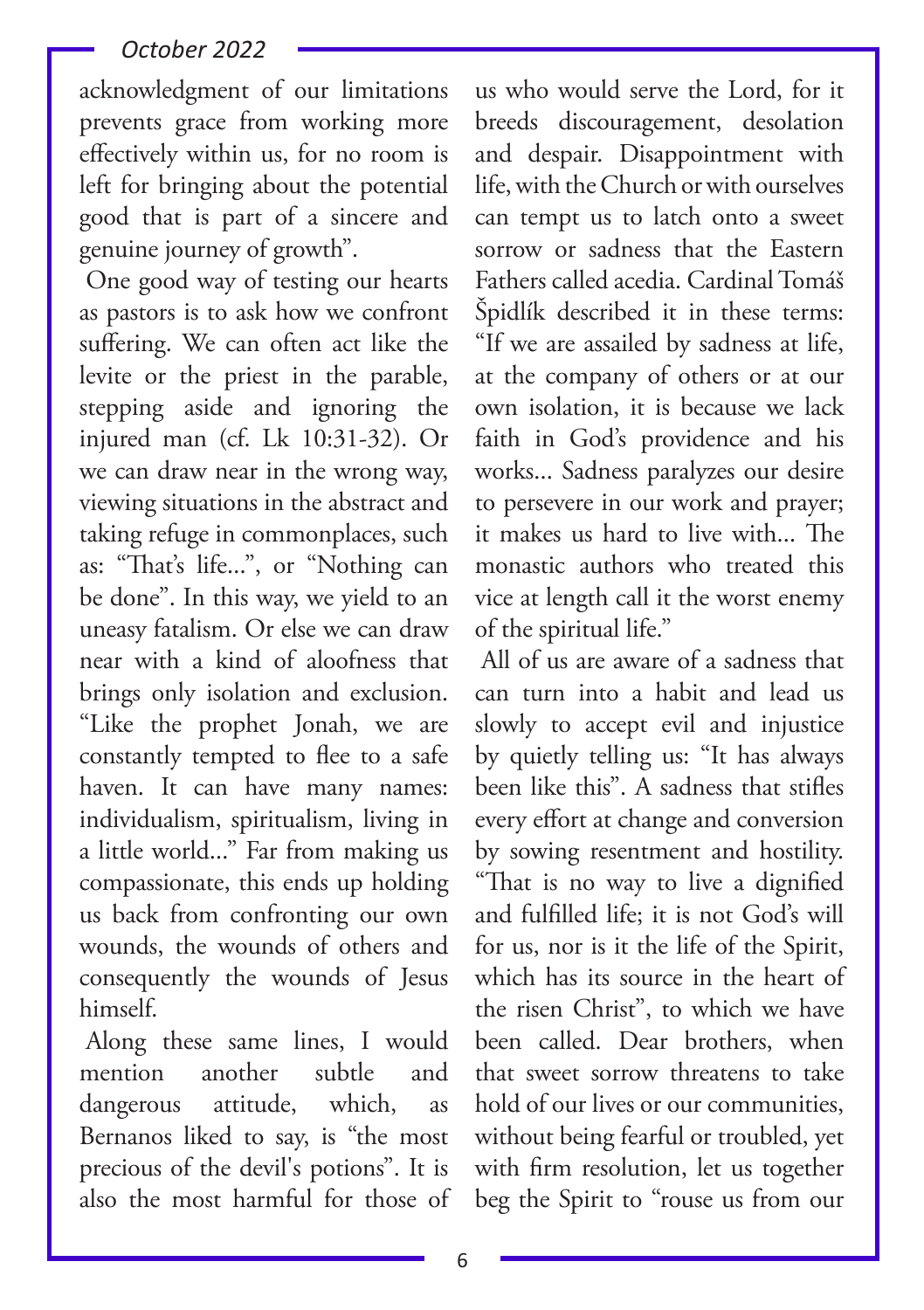acknowledgment of our limitations prevents grace from working more effectively within us, for no room is left for bringing about the potential good that is part of a sincere and genuine journey of growth".

One good way of testing our hearts as pastors is to ask how we confront suffering. We can often act like the levite or the priest in the parable, stepping aside and ignoring the injured man (cf. Lk 10:31-32). Or we can draw near in the wrong way, viewing situations in the abstract and taking refuge in commonplaces, such as: "That's life...", or "Nothing can be done". In this way, we yield to an uneasy fatalism. Or else we can draw near with a kind of aloofness that brings only isolation and exclusion. "Like the prophet Jonah, we are constantly tempted to flee to a safe haven. It can have many names: individualism, spiritualism, living in a little world..." Far from making us compassionate, this ends up holding us back from confronting our own wounds, the wounds of others and consequently the wounds of Jesus himself.

Along these same lines, I would mention another subtle and dangerous attitude, which, as Bernanos liked to say, is "the most precious of the devil's potions". It is also the most harmful for those of

us who would serve the Lord, for it breeds discouragement, desolation and despair. Disappointment with life, with the Church or with ourselves can tempt us to latch onto a sweet sorrow or sadness that the Eastern Fathers called acedia. Cardinal Tomáš Špidlík described it in these terms: "If we are assailed by sadness at life, at the company of others or at our own isolation, it is because we lack faith in God's providence and his works... Sadness paralyzes our desire to persevere in our work and prayer; it makes us hard to live with... The monastic authors who treated this vice at length call it the worst enemy of the spiritual life."

All of us are aware of a sadness that can turn into a habit and lead us slowly to accept evil and injustice by quietly telling us: "It has always been like this". A sadness that stifles every effort at change and conversion by sowing resentment and hostility. "That is no way to live a dignified and fulfilled life; it is not God's will for us, nor is it the life of the Spirit, which has its source in the heart of the risen Christ", to which we have been called. Dear brothers, when that sweet sorrow threatens to take hold of our lives or our communities, without being fearful or troubled, yet with firm resolution, let us together beg the Spirit to "rouse us from our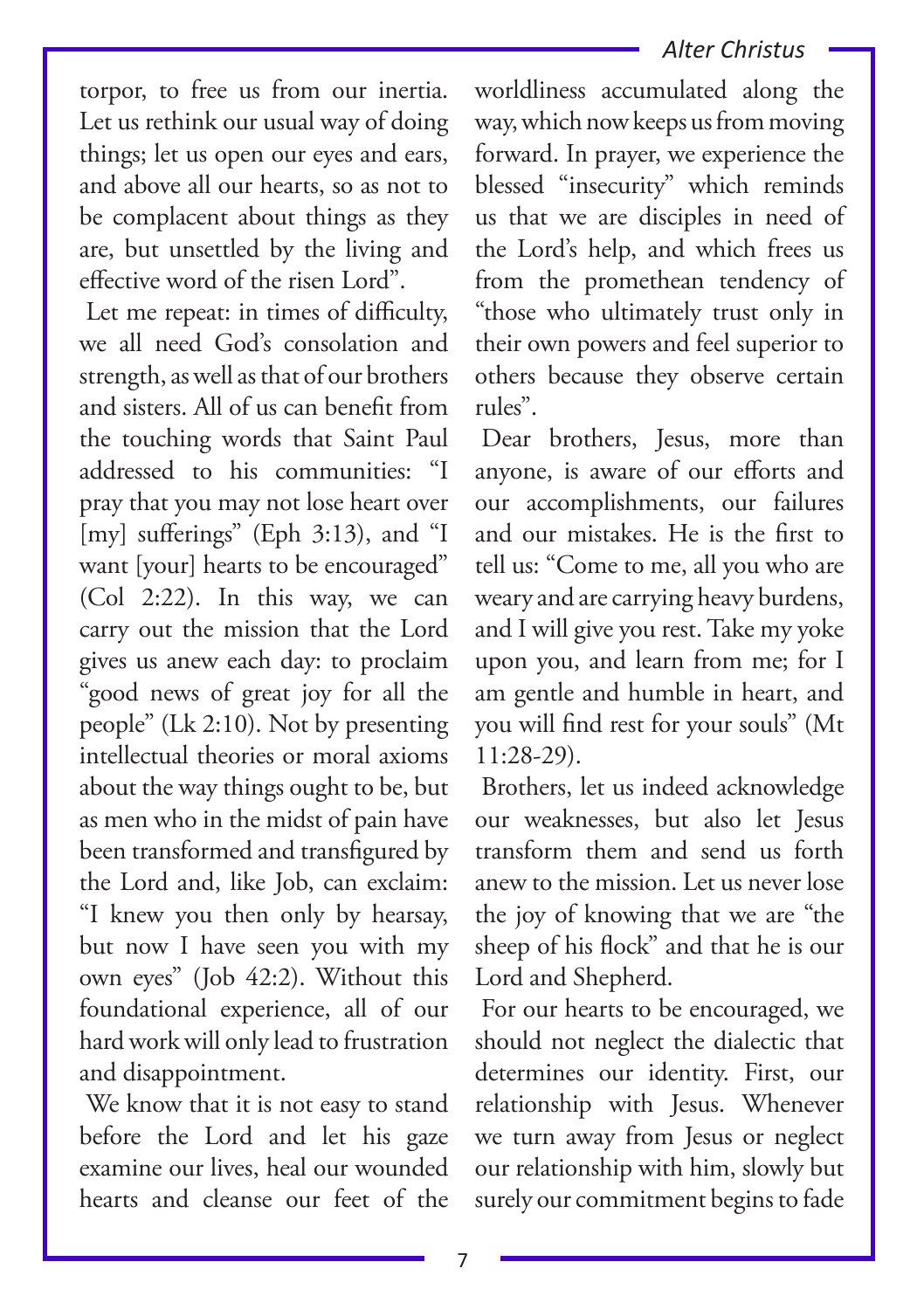torpor, to free us from our inertia. Let us rethink our usual way of doing things; let us open our eyes and ears, and above all our hearts, so as not to be complacent about things as they are, but unsettled by the living and effective word of the risen Lord".

Let me repeat: in times of difficulty, we all need God's consolation and strength, as well as that of our brothers and sisters. All of us can benefit from the touching words that Saint Paul addressed to his communities: "I pray that you may not lose heart over [my] sufferings" (Eph 3:13), and "I want [your] hearts to be encouraged" (Col 2:22). In this way, we can carry out the mission that the Lord gives us anew each day: to proclaim "good news of great joy for all the people" (Lk 2:10). Not by presenting intellectual theories or moral axioms about the way things ought to be, but as men who in the midst of pain have been transformed and transfigured by the Lord and, like Job, can exclaim: "I knew you then only by hearsay, but now I have seen you with my own eyes" (Job 42:2). Without this foundational experience, all of our hard work will only lead to frustration and disappointment.

We know that it is not easy to stand before the Lord and let his gaze examine our lives, heal our wounded hearts and cleanse our feet of the

worldliness accumulated along the way, which now keeps us from moving forward. In prayer, we experience the blessed "insecurity" which reminds us that we are disciples in need of the Lord's help, and which frees us from the promethean tendency of "those who ultimately trust only in their own powers and feel superior to others because they observe certain rules".

Dear brothers, Jesus, more than anyone, is aware of our efforts and our accomplishments, our failures and our mistakes. He is the first to tell us: "Come to me, all you who are weary and are carrying heavy burdens, and I will give you rest. Take my yoke upon you, and learn from me; for I am gentle and humble in heart, and you will find rest for your souls" (Mt 11:28-29).

Brothers, let us indeed acknowledge our weaknesses, but also let Jesus transform them and send us forth anew to the mission. Let us never lose the joy of knowing that we are "the sheep of his flock" and that he is our Lord and Shepherd.

For our hearts to be encouraged, we should not neglect the dialectic that determines our identity. First, our relationship with Jesus. Whenever we turn away from Jesus or neglect our relationship with him, slowly but surely our commitment begins to fade

7